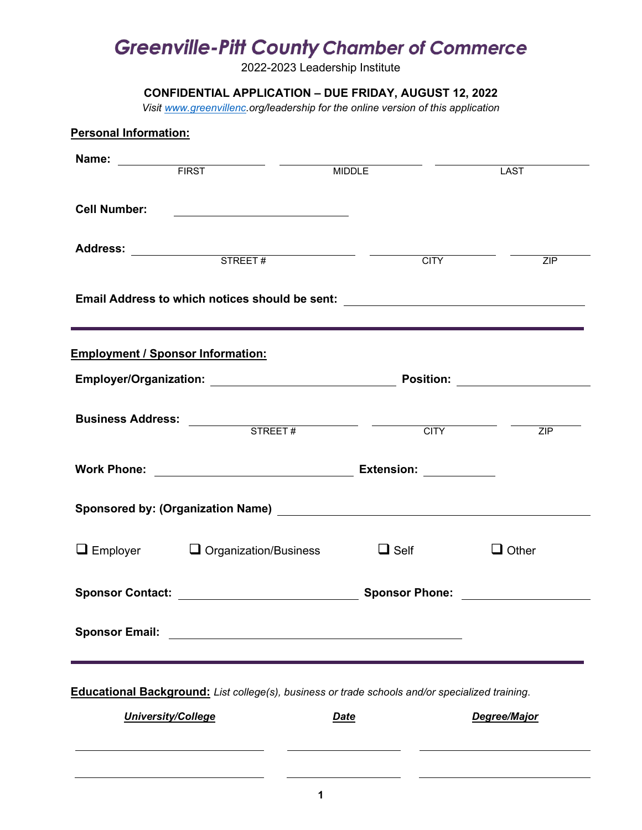# **Greenville-Pitt County Chamber of Commerce**

2022-2023 Leadership Institute

## **CONFIDENTIAL APPLICATION – DUE FRIDAY, AUGUST 12, 2022**

*Visit [www.greenvillenc.](http://www.greenvillenc/)org/leadership for the online version of this application*

| <b>Personal Information:</b> |                                                                                                                                                                                                                                |                       |              |
|------------------------------|--------------------------------------------------------------------------------------------------------------------------------------------------------------------------------------------------------------------------------|-----------------------|--------------|
|                              | Name: FIRST                                                                                                                                                                                                                    | <b>MIDDLE</b>         | <b>LAST</b>  |
| <b>Cell Number:</b>          | <u> 1989 - Johann Barbara, martin amerikan basar dan basa dan basa dan basa dalam basa dalam basa dalam basa dala</u>                                                                                                          |                       |              |
|                              |                                                                                                                                                                                                                                | <b>CITY</b>           | ZIP          |
|                              | Email Address to which notices should be sent: _________________________________                                                                                                                                               |                       |              |
|                              | <b>Employment / Sponsor Information:</b>                                                                                                                                                                                       |                       |              |
|                              |                                                                                                                                                                                                                                |                       |              |
|                              |                                                                                                                                                                                                                                |                       | ZIP          |
|                              |                                                                                                                                                                                                                                |                       |              |
|                              | Sponsored by: (Organization Name) [2012] [2012] [2012] [2012] [2012] [2012] [2012] [2012] [2012] [2012] [2012] [2012] [2012] [2012] [2012] [2012] [2012] [2012] [2012] [2012] [2012] [2012] [2012] [2012] [2012] [2012] [2012] |                       |              |
|                              | $\Box$ Employer $\Box$ Organization/Business                                                                                                                                                                                   | $\Box$ Self           | $\Box$ Other |
| <b>Sponsor Contact:</b>      |                                                                                                                                                                                                                                | <b>Sponsor Phone:</b> |              |
|                              |                                                                                                                                                                                                                                |                       |              |
|                              |                                                                                                                                                                                                                                |                       |              |
|                              | <b>Educational Background:</b> List college(s), business or trade schools and/or specialized training.                                                                                                                         |                       |              |
|                              | <b>University/College</b>                                                                                                                                                                                                      | <b>Date</b>           | Degree/Major |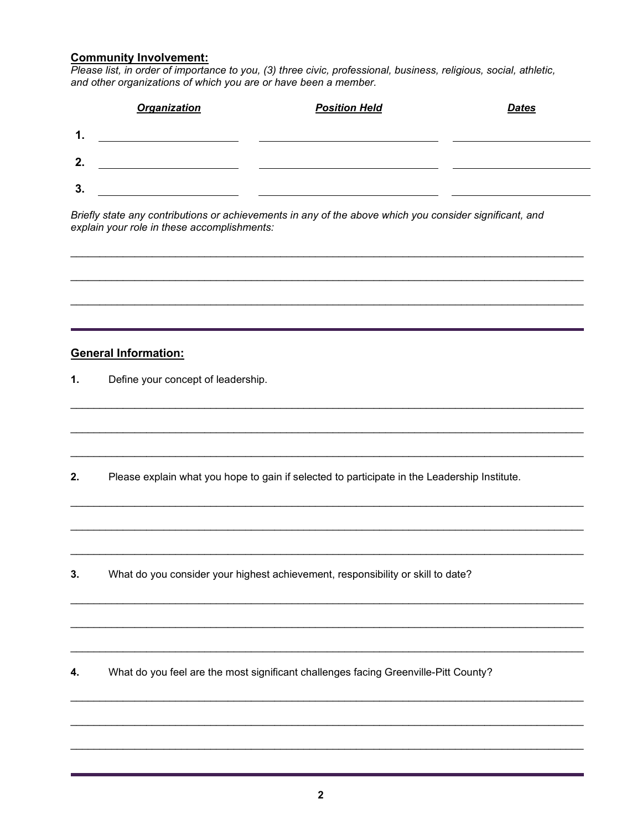#### **Community Involvement:**

*Please list, in order of importance to you, (3) three civic, professional, business, religious, social, athletic, and other organizations of which you are or have been a member.*

|    | <b>Organization</b> | <b>Position Held</b> | <b>Dates</b> |
|----|---------------------|----------------------|--------------|
| 1. |                     |                      |              |
| 2. |                     |                      |              |
| 3. |                     |                      |              |

\_\_\_\_\_\_\_\_\_\_\_\_\_\_\_\_\_\_\_\_\_\_\_\_\_\_\_\_\_\_\_\_\_\_\_\_\_\_\_\_\_\_\_\_\_\_\_\_\_\_\_\_\_\_\_\_\_\_\_\_\_\_\_\_\_\_\_\_\_\_\_\_\_\_\_\_\_\_\_\_\_\_\_\_\_\_\_\_

\_\_\_\_\_\_\_\_\_\_\_\_\_\_\_\_\_\_\_\_\_\_\_\_\_\_\_\_\_\_\_\_\_\_\_\_\_\_\_\_\_\_\_\_\_\_\_\_\_\_\_\_\_\_\_\_\_\_\_\_\_\_\_\_\_\_\_\_\_\_\_\_\_\_\_\_\_\_\_\_\_\_\_\_\_\_\_\_

\_\_\_\_\_\_\_\_\_\_\_\_\_\_\_\_\_\_\_\_\_\_\_\_\_\_\_\_\_\_\_\_\_\_\_\_\_\_\_\_\_\_\_\_\_\_\_\_\_\_\_\_\_\_\_\_\_\_\_\_\_\_\_\_\_\_\_\_\_\_\_\_\_\_\_\_\_\_\_\_\_\_\_\_\_\_\_\_

\_\_\_\_\_\_\_\_\_\_\_\_\_\_\_\_\_\_\_\_\_\_\_\_\_\_\_\_\_\_\_\_\_\_\_\_\_\_\_\_\_\_\_\_\_\_\_\_\_\_\_\_\_\_\_\_\_\_\_\_\_\_\_\_\_\_\_\_\_\_\_\_\_\_\_\_\_\_\_\_\_\_\_\_\_\_\_\_

\_\_\_\_\_\_\_\_\_\_\_\_\_\_\_\_\_\_\_\_\_\_\_\_\_\_\_\_\_\_\_\_\_\_\_\_\_\_\_\_\_\_\_\_\_\_\_\_\_\_\_\_\_\_\_\_\_\_\_\_\_\_\_\_\_\_\_\_\_\_\_\_\_\_\_\_\_\_\_\_\_\_\_\_\_\_\_\_

\_\_\_\_\_\_\_\_\_\_\_\_\_\_\_\_\_\_\_\_\_\_\_\_\_\_\_\_\_\_\_\_\_\_\_\_\_\_\_\_\_\_\_\_\_\_\_\_\_\_\_\_\_\_\_\_\_\_\_\_\_\_\_\_\_\_\_\_\_\_\_\_\_\_\_\_\_\_\_\_\_\_\_\_\_\_\_\_

\_\_\_\_\_\_\_\_\_\_\_\_\_\_\_\_\_\_\_\_\_\_\_\_\_\_\_\_\_\_\_\_\_\_\_\_\_\_\_\_\_\_\_\_\_\_\_\_\_\_\_\_\_\_\_\_\_\_\_\_\_\_\_\_\_\_\_\_\_\_\_\_\_\_\_\_\_\_\_\_\_\_\_\_\_\_\_\_

\_\_\_\_\_\_\_\_\_\_\_\_\_\_\_\_\_\_\_\_\_\_\_\_\_\_\_\_\_\_\_\_\_\_\_\_\_\_\_\_\_\_\_\_\_\_\_\_\_\_\_\_\_\_\_\_\_\_\_\_\_\_\_\_\_\_\_\_\_\_\_\_\_\_\_\_\_\_\_\_\_\_\_\_\_\_\_\_

\_\_\_\_\_\_\_\_\_\_\_\_\_\_\_\_\_\_\_\_\_\_\_\_\_\_\_\_\_\_\_\_\_\_\_\_\_\_\_\_\_\_\_\_\_\_\_\_\_\_\_\_\_\_\_\_\_\_\_\_\_\_\_\_\_\_\_\_\_\_\_\_\_\_\_\_\_\_\_\_\_\_\_\_\_\_\_\_

\_\_\_\_\_\_\_\_\_\_\_\_\_\_\_\_\_\_\_\_\_\_\_\_\_\_\_\_\_\_\_\_\_\_\_\_\_\_\_\_\_\_\_\_\_\_\_\_\_\_\_\_\_\_\_\_\_\_\_\_\_\_\_\_\_\_\_\_\_\_\_\_\_\_\_\_\_\_\_\_\_\_\_\_\_\_\_\_

\_\_\_\_\_\_\_\_\_\_\_\_\_\_\_\_\_\_\_\_\_\_\_\_\_\_\_\_\_\_\_\_\_\_\_\_\_\_\_\_\_\_\_\_\_\_\_\_\_\_\_\_\_\_\_\_\_\_\_\_\_\_\_\_\_\_\_\_\_\_\_\_\_\_\_\_\_\_\_\_\_\_\_\_\_\_\_\_

\_\_\_\_\_\_\_\_\_\_\_\_\_\_\_\_\_\_\_\_\_\_\_\_\_\_\_\_\_\_\_\_\_\_\_\_\_\_\_\_\_\_\_\_\_\_\_\_\_\_\_\_\_\_\_\_\_\_\_\_\_\_\_\_\_\_\_\_\_\_\_\_\_\_\_\_\_\_\_\_\_\_\_\_\_\_\_\_

\_\_\_\_\_\_\_\_\_\_\_\_\_\_\_\_\_\_\_\_\_\_\_\_\_\_\_\_\_\_\_\_\_\_\_\_\_\_\_\_\_\_\_\_\_\_\_\_\_\_\_\_\_\_\_\_\_\_\_\_\_\_\_\_\_\_\_\_\_\_\_\_\_\_\_\_\_\_\_\_\_\_\_\_\_\_\_\_

\_\_\_\_\_\_\_\_\_\_\_\_\_\_\_\_\_\_\_\_\_\_\_\_\_\_\_\_\_\_\_\_\_\_\_\_\_\_\_\_\_\_\_\_\_\_\_\_\_\_\_\_\_\_\_\_\_\_\_\_\_\_\_\_\_\_\_\_\_\_\_\_\_\_\_\_\_\_\_\_\_\_\_\_\_\_\_\_

\_\_\_\_\_\_\_\_\_\_\_\_\_\_\_\_\_\_\_\_\_\_\_\_\_\_\_\_\_\_\_\_\_\_\_\_\_\_\_\_\_\_\_\_\_\_\_\_\_\_\_\_\_\_\_\_\_\_\_\_\_\_\_\_\_\_\_\_\_\_\_\_\_\_\_\_\_\_\_\_\_\_\_\_\_\_\_\_

*Briefly state any contributions or achievements in any of the above which you consider significant, and explain your role in these accomplishments:*

#### **General Information:**

**1.** Define your concept of leadership.

**2.** Please explain what you hope to gain if selected to participate in the Leadership Institute.

**3.** What do you consider your highest achievement, responsibility or skill to date?

**4.** What do you feel are the most significant challenges facing Greenville-Pitt County?